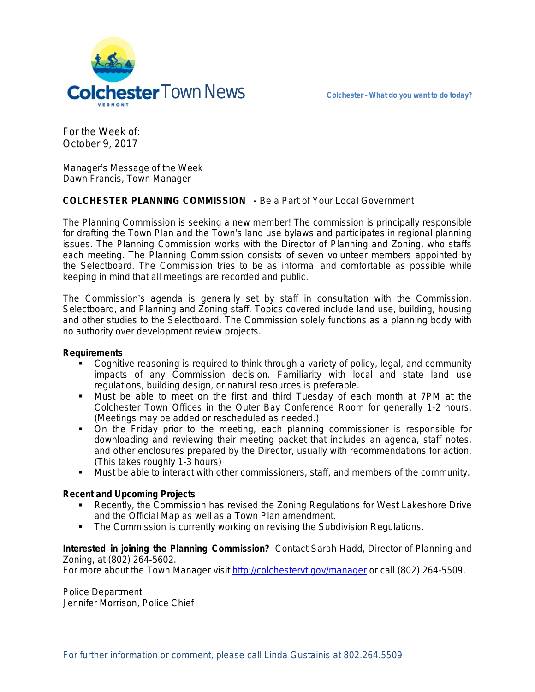

For the Week of: October 9, 2017

Manager's Message of the Week Dawn Francis, Town Manager

## **COLCHESTER PLANNING COMMISSION -** *Be a Part of Your Local Government*

The Planning Commission is seeking a new member! The commission is principally responsible for drafting the Town Plan and the Town's land use bylaws and participates in regional planning issues. The Planning Commission works with the Director of Planning and Zoning, who staffs each meeting. The Planning Commission consists of seven volunteer members appointed by the Selectboard. The Commission tries to be as informal and comfortable as possible while keeping in mind that all meetings are recorded and public.

The Commission's agenda is generally set by staff in consultation with the Commission, Selectboard, and Planning and Zoning staff. Topics covered include land use, building, housing and other studies to the Selectboard. The Commission solely functions as a planning body with no authority over development review projects.

## **Requirements**

- Cognitive reasoning is required to think through a variety of policy, legal, and community impacts of any Commission decision. Familiarity with local and state land use regulations, building design, or natural resources is preferable.
- Must be able to meet on the first and third Tuesday of each month at 7PM at the Colchester Town Offices in the Outer Bay Conference Room for generally 1-2 hours. (Meetings may be added or rescheduled as needed.)
- On the Friday prior to the meeting, each planning commissioner is responsible for downloading and reviewing their meeting packet that includes an agenda, staff notes, and other enclosures prepared by the Director, usually with recommendations for action. (This takes roughly 1-3 hours)
- Must be able to interact with other commissioners, staff, and members of the community.

## **Recent and Upcoming Projects**

- Recently, the Commission has revised the Zoning Regulations for West Lakeshore Drive and the Official Map as well as a Town Plan amendment.
- **The Commission is currently working on revising the Subdivision Regulations.**

**Interested in joining the Planning Commission?** Contact Sarah Hadd, Director of Planning and Zoning, at (802) 264-5602.

For more about the Town Manager visit<http://colchestervt.gov/manager>or call (802) 264-5509.

Police Department Jennifer Morrison, Police Chief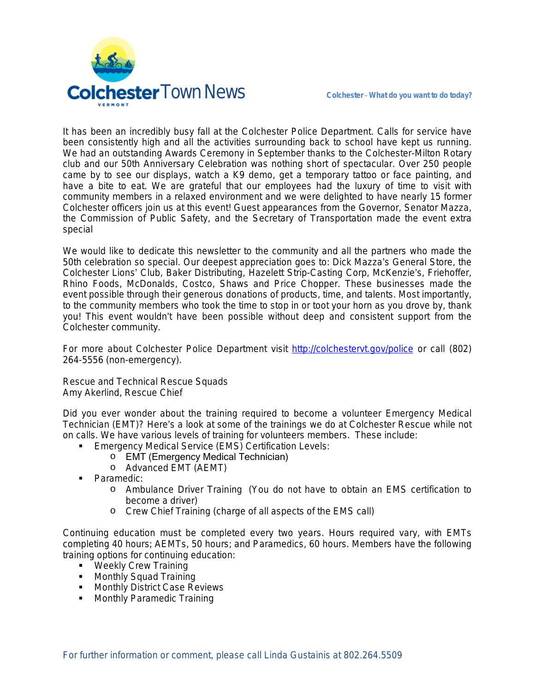

It has been an incredibly busy fall at the Colchester Police Department. Calls for service have been consistently high and all the activities surrounding back to school have kept us running. We had an outstanding Awards Ceremony in September thanks to the Colchester-Milton Rotary club and our 50th Anniversary Celebration was nothing short of spectacular. Over 250 people came by to see our displays, watch a K9 demo, get a temporary tattoo or face painting, and have a bite to eat. We are grateful that our employees had the luxury of time to visit with community members in a relaxed environment and we were delighted to have nearly 15 former Colchester officers join us at this event! Guest appearances from the Governor, Senator Mazza, the Commission of Public Safety, and the Secretary of Transportation made the event extra special

We would like to dedicate this newsletter to the community and all the partners who made the 50th celebration so special. Our deepest appreciation goes to: Dick Mazza's General Store, the Colchester Lions' Club, Baker Distributing, Hazelett Strip-Casting Corp, McKenzie's, Friehoffer, Rhino Foods, McDonalds, Costco, Shaws and Price Chopper. These businesses made the event possible through their generous donations of products, time, and talents. Most importantly, to the community members who took the time to stop in or toot your horn as you drove by, thank you! This event wouldn't have been possible without deep and consistent support from the Colchester community.

For more about Colchester Police Department visit <http://colchestervt.gov/police> or call (802) 264-5556 (non-emergency).

Rescue and Technical Rescue Squads Amy Akerlind, Rescue Chief

Did you ever wonder about the training required to become a volunteer Emergency Medical Technician (EMT)? Here's a look at some of the trainings we do at Colchester Rescue while not on calls. We have various levels of training for volunteers members. These include:

- **Emergency Medical Service (EMS) Certification Levels:** 
	- o EMT (Emergency Medical Technician)
		- o Advanced EMT (AEMT)
- Paramedic:
	- o Ambulance Driver Training (You do not have to obtain an EMS certification to become a driver)
	- o Crew Chief Training (charge of all aspects of the EMS call)

Continuing education must be completed every two years. Hours required vary, with EMTs completing 40 hours; AEMTs, 50 hours; and Paramedics, 60 hours. Members have the following training options for continuing education:

- **Weekly Crew Training**
- Monthly Squad Training
- **Monthly District Case Reviews**
- **Monthly Paramedic Training**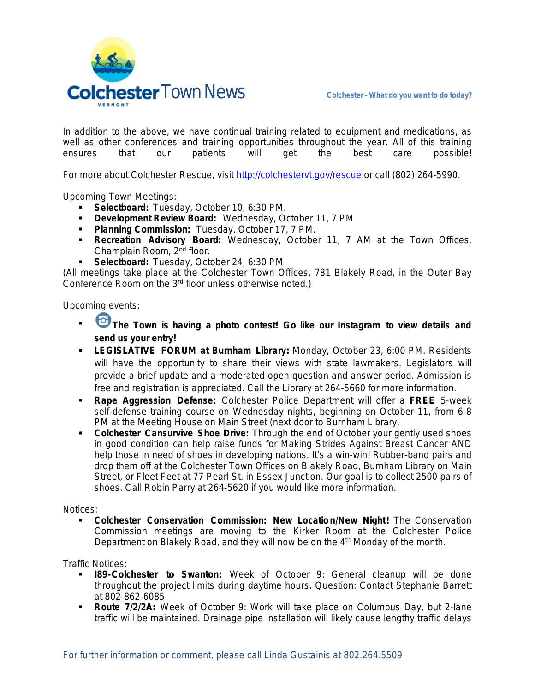

In addition to the above, we have continual training related to equipment and medications, as well as other conferences and training opportunities throughout the year. All of this training ensures that our patients will get the best care possible!

For more about Colchester Rescue, visit [http://colchestervt.gov/rescue](http://colchestervt.gov/rescue/index.shtml) or call (802) 264-5990.

Upcoming Town Meetings:

- **Selectboard:** Tuesday, October 10, 6:30 PM.
- **Development Review Board:** Wednesday, October 11, 7 PM
- **Planning Commission:** Tuesday, October 17, 7 PM.
- **Recreation Advisory Board:** Wednesday, October 11, 7 AM at the Town Offices, Champlain Room, 2nd floor.
- **Selectboard:** Tuesday, October 24, 6:30 PM

(All meetings take place at the Colchester Town Offices, 781 Blakely Road, in the Outer Bay Conference Room on the 3<sup>rd</sup> floor unless otherwise noted.)

Upcoming events:

- **The Town is having a photo contest! Go like our Instagram to view details and send us your entry!**
- **LEGISLATIVE FORUM at Burnham Library:** Monday, October 23, 6:00 PM. Residents will have the opportunity to share their views with state lawmakers. Legislators will provide a brief update and a moderated open question and answer period. Admission is free and registration is appreciated. Call the Library at 264-5660 for more information.
- **Rape Aggression Defense:** Colchester Police Department will offer a **FREE** 5-week self-defense training course on Wednesday nights, beginning on October 11, from 6-8 PM at the Meeting House on Main Street (next door to Burnham Library.
- **Colchester Cansurvive Shoe Drive:** Through the end of October your gently used shoes in good condition can help raise funds for Making Strides Against Breast Cancer AND help those in need of shoes in developing nations. It's a win-win! Rubber-band pairs and drop them off at the Colchester Town Offices on Blakely Road, Burnham Library on Main Street, or Fleet Feet at 77 Pearl St. in Essex Junction. Our goal is to collect 2500 pairs of shoes. Call Robin Parry at 264-5620 if you would like more information.

Notices:

 **Colchester Conservation Commission: New Location/New Night!** The Conservation Commission meetings are moving to the Kirker Room at the Colchester Police Department on Blakely Road, and they will now be on the  $4<sup>th</sup>$  Monday of the month.

Traffic Notices:

- **I89-Colchester to Swanton:** Week of October 9: General cleanup will be done throughout the project limits during daytime hours. Question: Contact Stephanie Barrett at 802-862-6085.
- **Route 7/2/2A:** Week of October 9: Work will take place on Columbus Day, but 2-lane traffic will be maintained. Drainage pipe installation will likely cause lengthy traffic delays